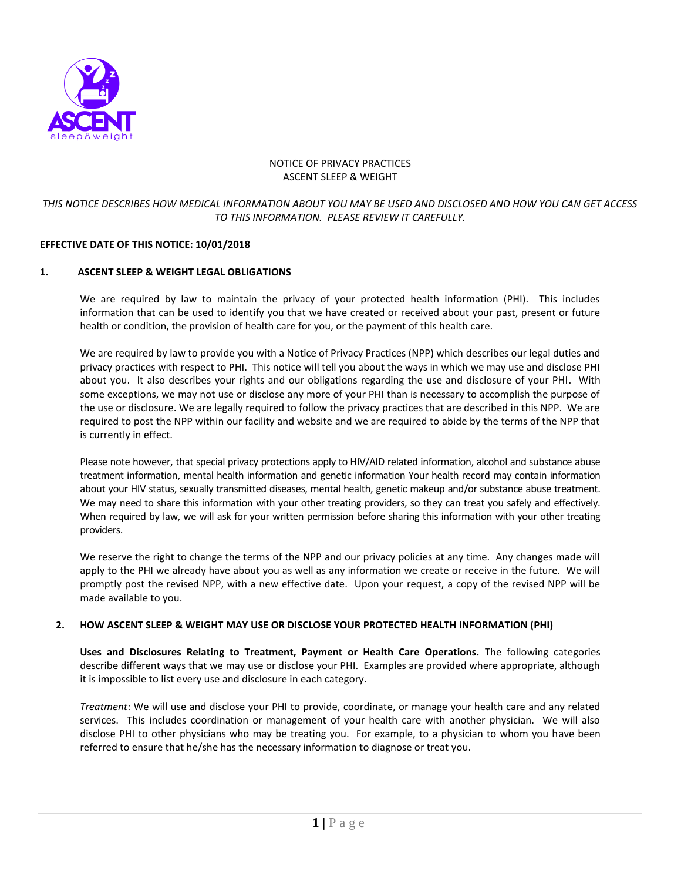

## NOTICE OF PRIVACY PRACTICES ASCENT SLEEP & WEIGHT

# *THIS NOTICE DESCRIBES HOW MEDICAL INFORMATION ABOUT YOU MAY BE USED AND DISCLOSED AND HOW YOU CAN GET ACCESS TO THIS INFORMATION. PLEASE REVIEW IT CAREFULLY.*

# **EFFECTIVE DATE OF THIS NOTICE: 10/01/2018**

#### **1. ASCENT SLEEP & WEIGHT LEGAL OBLIGATIONS**

We are required by law to maintain the privacy of your protected health information (PHI). This includes information that can be used to identify you that we have created or received about your past, present or future health or condition, the provision of health care for you, or the payment of this health care.

We are required by law to provide you with a Notice of Privacy Practices (NPP) which describes our legal duties and privacy practices with respect to PHI. This notice will tell you about the ways in which we may use and disclose PHI about you. It also describes your rights and our obligations regarding the use and disclosure of your PHI. With some exceptions, we may not use or disclose any more of your PHI than is necessary to accomplish the purpose of the use or disclosure. We are legally required to follow the privacy practices that are described in this NPP. We are required to post the NPP within our facility and website and we are required to abide by the terms of the NPP that is currently in effect.

Please note however, that special privacy protections apply to HIV/AID related information, alcohol and substance abuse treatment information, mental health information and genetic information Your health record may contain information about your HIV status, sexually transmitted diseases, mental health, genetic makeup and/or substance abuse treatment. We may need to share this information with your other treating providers, so they can treat you safely and effectively. When required by law, we will ask for your written permission before sharing this information with your other treating providers.

We reserve the right to change the terms of the NPP and our privacy policies at any time. Any changes made will apply to the PHI we already have about you as well as any information we create or receive in the future. We will promptly post the revised NPP, with a new effective date. Upon your request, a copy of the revised NPP will be made available to you.

#### **2. HOW ASCENT SLEEP & WEIGHT MAY USE OR DISCLOSE YOUR PROTECTED HEALTH INFORMATION (PHI)**

**Uses and Disclosures Relating to Treatment, Payment or Health Care Operations.** The following categories describe different ways that we may use or disclose your PHI. Examples are provided where appropriate, although it is impossible to list every use and disclosure in each category.

*Treatment*: We will use and disclose your PHI to provide, coordinate, or manage your health care and any related services. This includes coordination or management of your health care with another physician. We will also disclose PHI to other physicians who may be treating you. For example, to a physician to whom you have been referred to ensure that he/she has the necessary information to diagnose or treat you.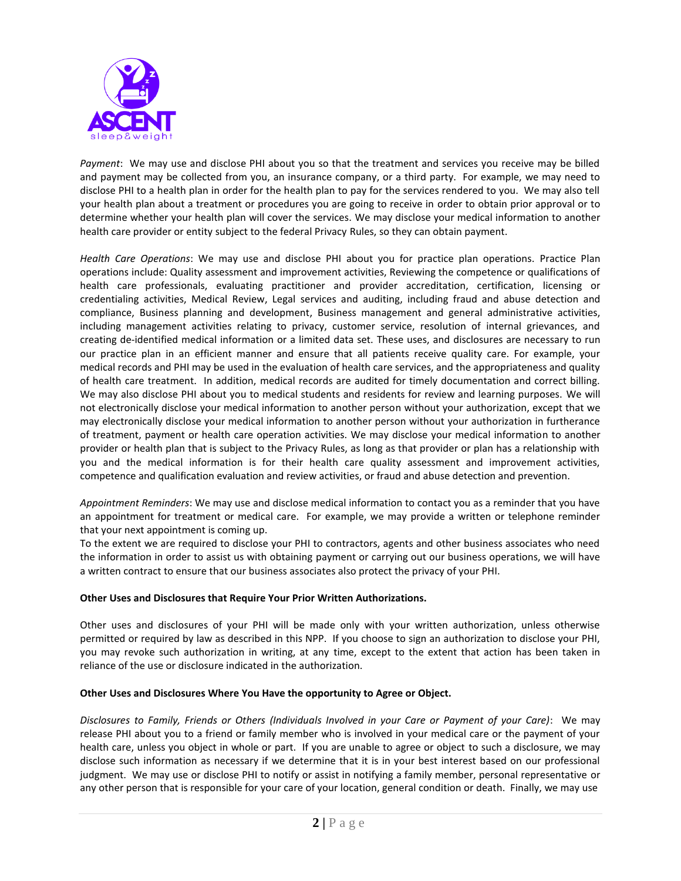

*Payment*: We may use and disclose PHI about you so that the treatment and services you receive may be billed and payment may be collected from you, an insurance company, or a third party. For example, we may need to disclose PHI to a health plan in order for the health plan to pay for the services rendered to you. We may also tell your health plan about a treatment or procedures you are going to receive in order to obtain prior approval or to determine whether your health plan will cover the services. We may disclose your medical information to another health care provider or entity subject to the federal Privacy Rules, so they can obtain payment.

*Health Care Operations*: We may use and disclose PHI about you for practice plan operations. Practice Plan operations include: Quality assessment and improvement activities, Reviewing the competence or qualifications of health care professionals, evaluating practitioner and provider accreditation, certification, licensing or credentialing activities, Medical Review, Legal services and auditing, including fraud and abuse detection and compliance, Business planning and development, Business management and general administrative activities, including management activities relating to privacy, customer service, resolution of internal grievances, and creating de-identified medical information or a limited data set. These uses, and disclosures are necessary to run our practice plan in an efficient manner and ensure that all patients receive quality care. For example, your medical records and PHI may be used in the evaluation of health care services, and the appropriateness and quality of health care treatment. In addition, medical records are audited for timely documentation and correct billing. We may also disclose PHI about you to medical students and residents for review and learning purposes. We will not electronically disclose your medical information to another person without your authorization, except that we may electronically disclose your medical information to another person without your authorization in furtherance of treatment, payment or health care operation activities. We may disclose your medical information to another provider or health plan that is subject to the Privacy Rules, as long as that provider or plan has a relationship with you and the medical information is for their health care quality assessment and improvement activities, competence and qualification evaluation and review activities, or fraud and abuse detection and prevention.

*Appointment Reminders*: We may use and disclose medical information to contact you as a reminder that you have an appointment for treatment or medical care. For example, we may provide a written or telephone reminder that your next appointment is coming up.

To the extent we are required to disclose your PHI to contractors, agents and other business associates who need the information in order to assist us with obtaining payment or carrying out our business operations, we will have a written contract to ensure that our business associates also protect the privacy of your PHI.

# **Other Uses and Disclosures that Require Your Prior Written Authorizations.**

Other uses and disclosures of your PHI will be made only with your written authorization, unless otherwise permitted or required by law as described in this NPP. If you choose to sign an authorization to disclose your PHI, you may revoke such authorization in writing, at any time, except to the extent that action has been taken in reliance of the use or disclosure indicated in the authorization.

#### **Other Uses and Disclosures Where You Have the opportunity to Agree or Object.**

*Disclosures to Family, Friends or Others (Individuals Involved in your Care or Payment of your Care)*: We may release PHI about you to a friend or family member who is involved in your medical care or the payment of your health care, unless you object in whole or part. If you are unable to agree or object to such a disclosure, we may disclose such information as necessary if we determine that it is in your best interest based on our professional judgment. We may use or disclose PHI to notify or assist in notifying a family member, personal representative or any other person that is responsible for your care of your location, general condition or death. Finally, we may use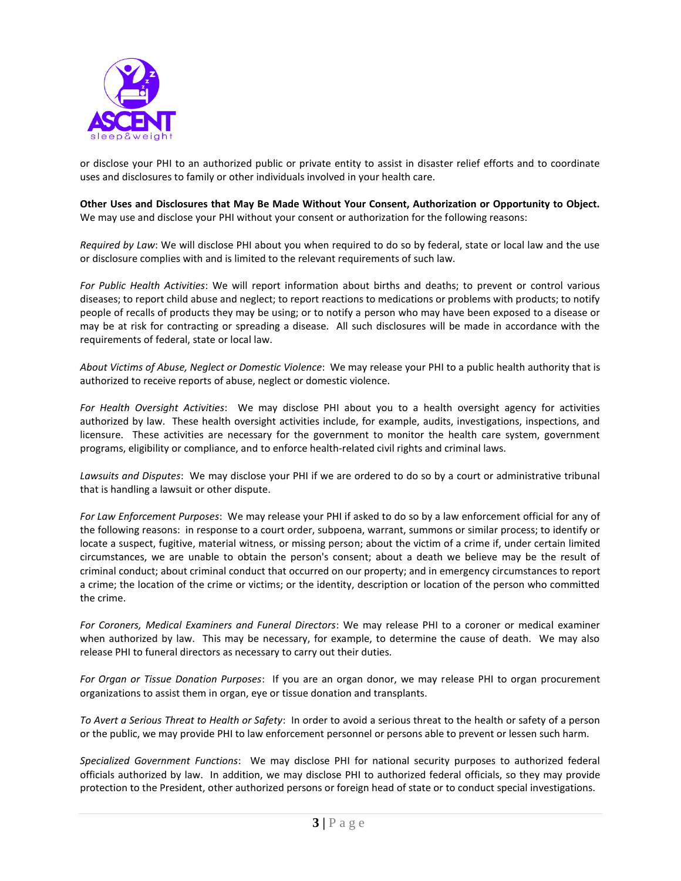

or disclose your PHI to an authorized public or private entity to assist in disaster relief efforts and to coordinate uses and disclosures to family or other individuals involved in your health care.

**Other Uses and Disclosures that May Be Made Without Your Consent, Authorization or Opportunity to Object.** We may use and disclose your PHI without your consent or authorization for the following reasons:

*Required by Law*: We will disclose PHI about you when required to do so by federal, state or local law and the use or disclosure complies with and is limited to the relevant requirements of such law.

*For Public Health Activities*: We will report information about births and deaths; to prevent or control various diseases; to report child abuse and neglect; to report reactions to medications or problems with products; to notify people of recalls of products they may be using; or to notify a person who may have been exposed to a disease or may be at risk for contracting or spreading a disease. All such disclosures will be made in accordance with the requirements of federal, state or local law.

*About Victims of Abuse, Neglect or Domestic Violence*: We may release your PHI to a public health authority that is authorized to receive reports of abuse, neglect or domestic violence.

*For Health Oversight Activities*: We may disclose PHI about you to a health oversight agency for activities authorized by law. These health oversight activities include, for example, audits, investigations, inspections, and licensure. These activities are necessary for the government to monitor the health care system, government programs, eligibility or compliance, and to enforce health-related civil rights and criminal laws.

*Lawsuits and Disputes*: We may disclose your PHI if we are ordered to do so by a court or administrative tribunal that is handling a lawsuit or other dispute.

*For Law Enforcement Purposes*: We may release your PHI if asked to do so by a law enforcement official for any of the following reasons: in response to a court order, subpoena, warrant, summons or similar process; to identify or locate a suspect, fugitive, material witness, or missing person; about the victim of a crime if, under certain limited circumstances, we are unable to obtain the person's consent; about a death we believe may be the result of criminal conduct; about criminal conduct that occurred on our property; and in emergency circumstances to report a crime; the location of the crime or victims; or the identity, description or location of the person who committed the crime.

*For Coroners, Medical Examiners and Funeral Directors*: We may release PHI to a coroner or medical examiner when authorized by law. This may be necessary, for example, to determine the cause of death. We may also release PHI to funeral directors as necessary to carry out their duties.

*For Organ or Tissue Donation Purposes*: If you are an organ donor, we may release PHI to organ procurement organizations to assist them in organ, eye or tissue donation and transplants.

*To Avert a Serious Threat to Health or Safety*: In order to avoid a serious threat to the health or safety of a person or the public, we may provide PHI to law enforcement personnel or persons able to prevent or lessen such harm.

*Specialized Government Functions*: We may disclose PHI for national security purposes to authorized federal officials authorized by law. In addition, we may disclose PHI to authorized federal officials, so they may provide protection to the President, other authorized persons or foreign head of state or to conduct special investigations.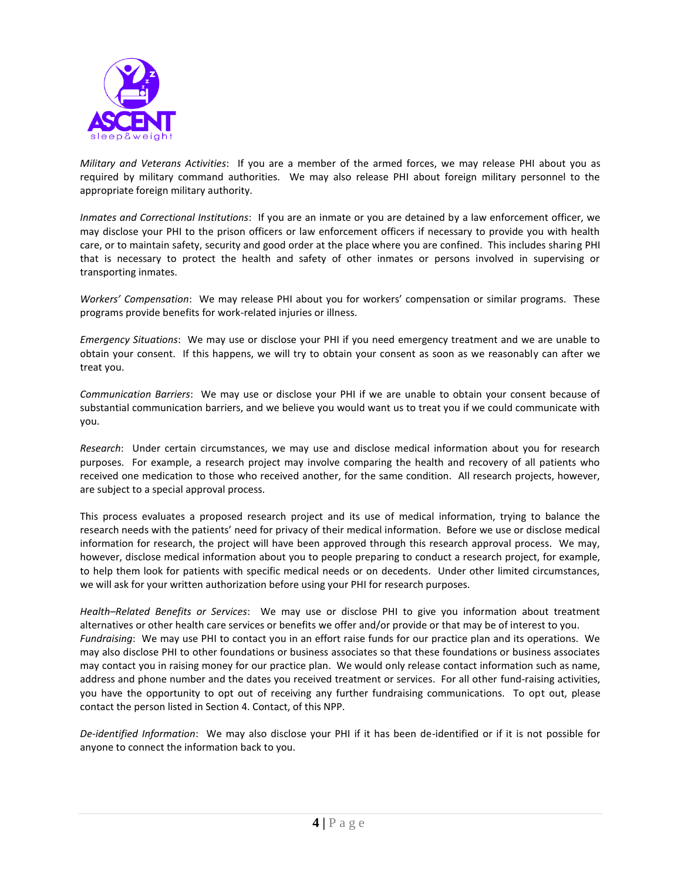

*Military and Veterans Activities*: If you are a member of the armed forces, we may release PHI about you as required by military command authorities. We may also release PHI about foreign military personnel to the appropriate foreign military authority.

*Inmates and Correctional Institutions*: If you are an inmate or you are detained by a law enforcement officer, we may disclose your PHI to the prison officers or law enforcement officers if necessary to provide you with health care, or to maintain safety, security and good order at the place where you are confined. This includes sharing PHI that is necessary to protect the health and safety of other inmates or persons involved in supervising or transporting inmates.

*Workers' Compensation*: We may release PHI about you for workers' compensation or similar programs. These programs provide benefits for work-related injuries or illness.

*Emergency Situations*: We may use or disclose your PHI if you need emergency treatment and we are unable to obtain your consent. If this happens, we will try to obtain your consent as soon as we reasonably can after we treat you.

*Communication Barriers*: We may use or disclose your PHI if we are unable to obtain your consent because of substantial communication barriers, and we believe you would want us to treat you if we could communicate with you.

*Research*: Under certain circumstances, we may use and disclose medical information about you for research purposes. For example, a research project may involve comparing the health and recovery of all patients who received one medication to those who received another, for the same condition. All research projects, however, are subject to a special approval process.

This process evaluates a proposed research project and its use of medical information, trying to balance the research needs with the patients' need for privacy of their medical information. Before we use or disclose medical information for research, the project will have been approved through this research approval process. We may, however, disclose medical information about you to people preparing to conduct a research project, for example, to help them look for patients with specific medical needs or on decedents. Under other limited circumstances, we will ask for your written authorization before using your PHI for research purposes.

*Health–Related Benefits or Services*: We may use or disclose PHI to give you information about treatment alternatives or other health care services or benefits we offer and/or provide or that may be of interest to you. *Fundraising*: We may use PHI to contact you in an effort raise funds for our practice plan and its operations. We may also disclose PHI to other foundations or business associates so that these foundations or business associates may contact you in raising money for our practice plan. We would only release contact information such as name, address and phone number and the dates you received treatment or services. For all other fund-raising activities, you have the opportunity to opt out of receiving any further fundraising communications. To opt out, please contact the person listed in Section 4. Contact, of this NPP.

*De-identified Information*: We may also disclose your PHI if it has been de-identified or if it is not possible for anyone to connect the information back to you.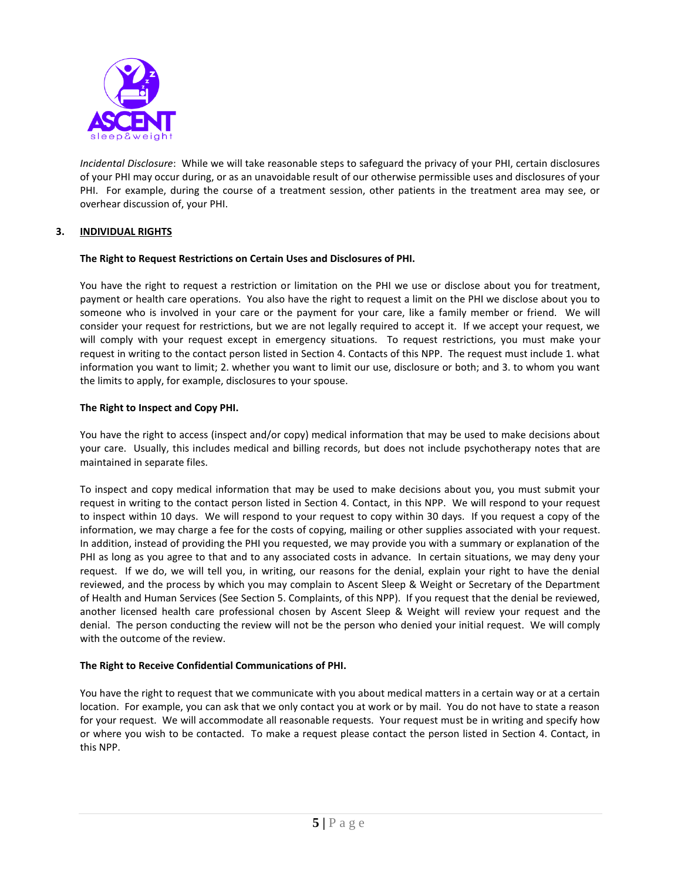

*Incidental Disclosure*: While we will take reasonable steps to safeguard the privacy of your PHI, certain disclosures of your PHI may occur during, or as an unavoidable result of our otherwise permissible uses and disclosures of your PHI. For example, during the course of a treatment session, other patients in the treatment area may see, or overhear discussion of, your PHI.

# **3. INDIVIDUAL RIGHTS**

## **The Right to Request Restrictions on Certain Uses and Disclosures of PHI.**

You have the right to request a restriction or limitation on the PHI we use or disclose about you for treatment, payment or health care operations. You also have the right to request a limit on the PHI we disclose about you to someone who is involved in your care or the payment for your care, like a family member or friend. We will consider your request for restrictions, but we are not legally required to accept it. If we accept your request, we will comply with your request except in emergency situations. To request restrictions, you must make your request in writing to the contact person listed in Section 4. Contacts of this NPP. The request must include 1. what information you want to limit; 2. whether you want to limit our use, disclosure or both; and 3. to whom you want the limits to apply, for example, disclosures to your spouse.

## **The Right to Inspect and Copy PHI.**

You have the right to access (inspect and/or copy) medical information that may be used to make decisions about your care. Usually, this includes medical and billing records, but does not include psychotherapy notes that are maintained in separate files.

To inspect and copy medical information that may be used to make decisions about you, you must submit your request in writing to the contact person listed in Section 4. Contact, in this NPP. We will respond to your request to inspect within 10 days. We will respond to your request to copy within 30 days. If you request a copy of the information, we may charge a fee for the costs of copying, mailing or other supplies associated with your request. In addition, instead of providing the PHI you requested, we may provide you with a summary or explanation of the PHI as long as you agree to that and to any associated costs in advance. In certain situations, we may deny your request. If we do, we will tell you, in writing, our reasons for the denial, explain your right to have the denial reviewed, and the process by which you may complain to Ascent Sleep & Weight or Secretary of the Department of Health and Human Services (See Section 5. Complaints, of this NPP). If you request that the denial be reviewed, another licensed health care professional chosen by Ascent Sleep & Weight will review your request and the denial. The person conducting the review will not be the person who denied your initial request. We will comply with the outcome of the review.

#### **The Right to Receive Confidential Communications of PHI.**

You have the right to request that we communicate with you about medical matters in a certain way or at a certain location. For example, you can ask that we only contact you at work or by mail. You do not have to state a reason for your request. We will accommodate all reasonable requests. Your request must be in writing and specify how or where you wish to be contacted. To make a request please contact the person listed in Section 4. Contact, in this NPP.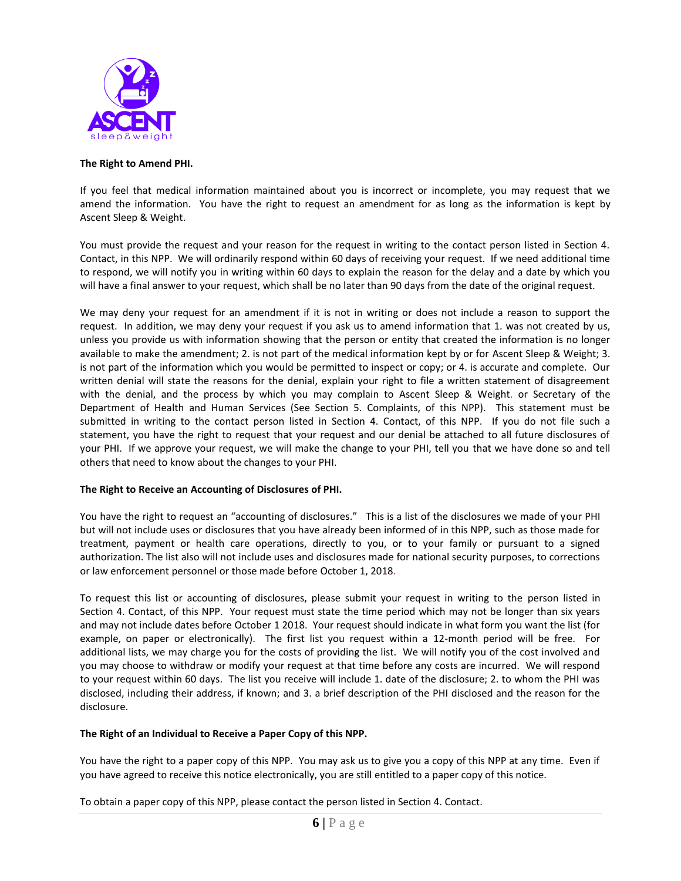

### **The Right to Amend PHI.**

If you feel that medical information maintained about you is incorrect or incomplete, you may request that we amend the information. You have the right to request an amendment for as long as the information is kept by Ascent Sleep & Weight.

You must provide the request and your reason for the request in writing to the contact person listed in Section 4. Contact, in this NPP. We will ordinarily respond within 60 days of receiving your request. If we need additional time to respond, we will notify you in writing within 60 days to explain the reason for the delay and a date by which you will have a final answer to your request, which shall be no later than 90 days from the date of the original request.

We may deny your request for an amendment if it is not in writing or does not include a reason to support the request. In addition, we may deny your request if you ask us to amend information that 1. was not created by us, unless you provide us with information showing that the person or entity that created the information is no longer available to make the amendment; 2. is not part of the medical information kept by or for Ascent Sleep & Weight; 3. is not part of the information which you would be permitted to inspect or copy; or 4. is accurate and complete. Our written denial will state the reasons for the denial, explain your right to file a written statement of disagreement with the denial, and the process by which you may complain to Ascent Sleep & Weight. or Secretary of the Department of Health and Human Services (See Section 5. Complaints, of this NPP). This statement must be submitted in writing to the contact person listed in Section 4. Contact, of this NPP. If you do not file such a statement, you have the right to request that your request and our denial be attached to all future disclosures of your PHI. If we approve your request, we will make the change to your PHI, tell you that we have done so and tell others that need to know about the changes to your PHI.

# **The Right to Receive an Accounting of Disclosures of PHI.**

You have the right to request an "accounting of disclosures." This is a list of the disclosures we made of your PHI but will not include uses or disclosures that you have already been informed of in this NPP, such as those made for treatment, payment or health care operations, directly to you, or to your family or pursuant to a signed authorization. The list also will not include uses and disclosures made for national security purposes, to corrections or law enforcement personnel or those made before October 1, 2018.

To request this list or accounting of disclosures, please submit your request in writing to the person listed in Section 4. Contact, of this NPP. Your request must state the time period which may not be longer than six years and may not include dates before October 1 2018. Your request should indicate in what form you want the list (for example, on paper or electronically). The first list you request within a 12-month period will be free. For additional lists, we may charge you for the costs of providing the list. We will notify you of the cost involved and you may choose to withdraw or modify your request at that time before any costs are incurred. We will respond to your request within 60 days. The list you receive will include 1. date of the disclosure; 2. to whom the PHI was disclosed, including their address, if known; and 3. a brief description of the PHI disclosed and the reason for the disclosure.

# **The Right of an Individual to Receive a Paper Copy of this NPP.**

You have the right to a paper copy of this NPP. You may ask us to give you a copy of this NPP at any time. Even if you have agreed to receive this notice electronically, you are still entitled to a paper copy of this notice.

To obtain a paper copy of this NPP, please contact the person listed in Section 4. Contact.